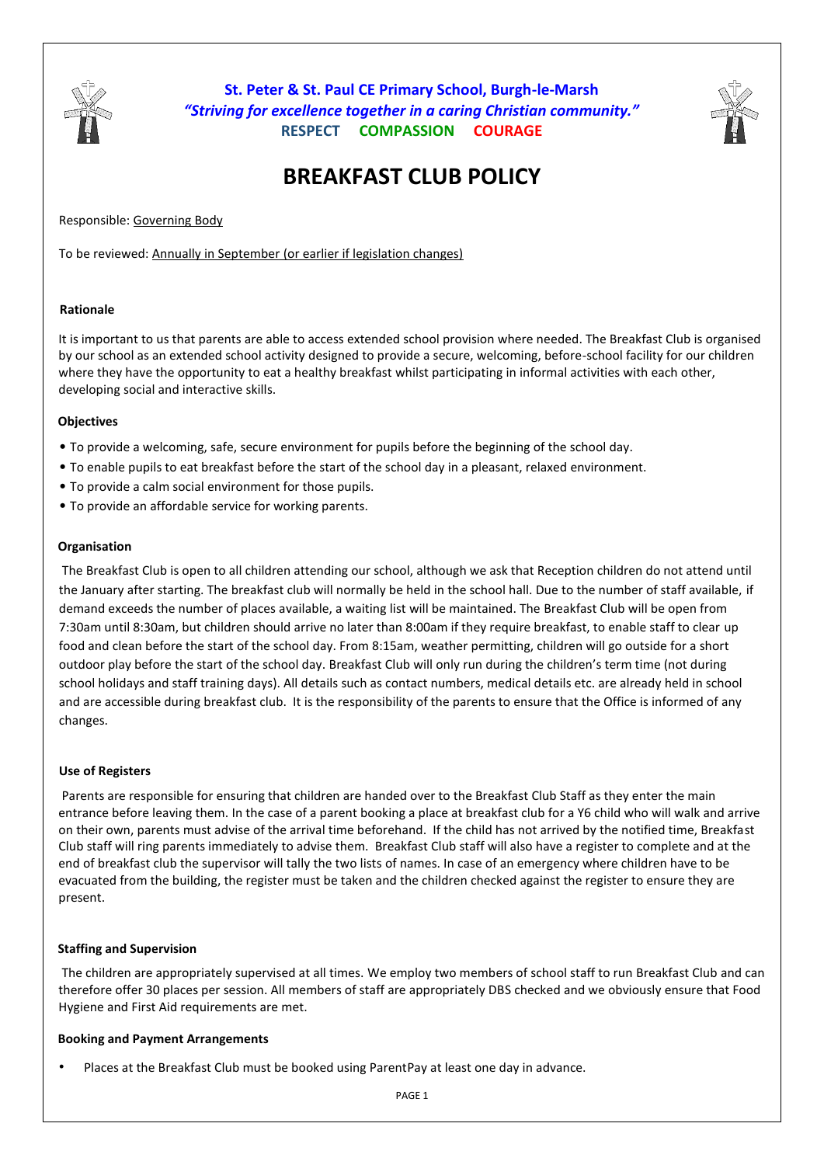

**St. Peter & St. Paul CE Primary School, Burgh-le-Marsh** *"Striving for excellence together in a caring Christian community."* **RESPECT COMPASSION COURAGE**



# **BREAKFAST CLUB POLICY**

Responsible: Governing Body

To be reviewed: Annually in September (or earlier if legislation changes)

## **Rationale**

It is important to us that parents are able to access extended school provision where needed. The Breakfast Club is organised by our school as an extended school activity designed to provide a secure, welcoming, before-school facility for our children where they have the opportunity to eat a healthy breakfast whilst participating in informal activities with each other. developing social and interactive skills.

## **Objectives**

- To provide a welcoming, safe, secure environment for pupils before the beginning of the school day.
- To enable pupils to eat breakfast before the start of the school day in a pleasant, relaxed environment.
- To provide a calm social environment for those pupils.
- To provide an affordable service for working parents.

#### **Organisation**

The Breakfast Club is open to all children attending our school, although we ask that Reception children do not attend until the January after starting. The breakfast club will normally be held in the school hall. Due to the number of staff available, if demand exceeds the number of places available, a waiting list will be maintained. The Breakfast Club will be open from 7:30am until 8:30am, but children should arrive no later than 8:00am if they require breakfast, to enable staff to clear up food and clean before the start of the school day. From 8:15am, weather permitting, children will go outside for a short outdoor play before the start of the school day. Breakfast Club will only run during the children's term time (not during school holidays and staff training days). All details such as contact numbers, medical details etc. are already held in school and are accessible during breakfast club. It is the responsibility of the parents to ensure that the Office is informed of any changes.

#### **Use of Registers**

Parents are responsible for ensuring that children are handed over to the Breakfast Club Staff as they enter the main entrance before leaving them. In the case of a parent booking a place at breakfast club for a Y6 child who will walk and arrive on their own, parents must advise of the arrival time beforehand. If the child has not arrived by the notified time, Breakfast Club staff will ring parents immediately to advise them. Breakfast Club staff will also have a register to complete and at the end of breakfast club the supervisor will tally the two lists of names. In case of an emergency where children have to be evacuated from the building, the register must be taken and the children checked against the register to ensure they are present.

#### **Staffing and Supervision**

The children are appropriately supervised at all times. We employ two members of school staff to run Breakfast Club and can therefore offer 30 places per session. All members of staff are appropriately DBS checked and we obviously ensure that Food Hygiene and First Aid requirements are met.

#### **Booking and Payment Arrangements**

• Places at the Breakfast Club must be booked using ParentPay at least one day in advance.